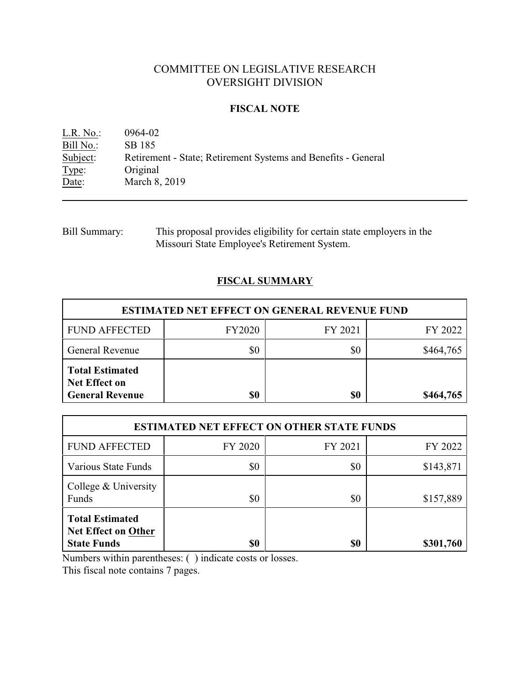# COMMITTEE ON LEGISLATIVE RESEARCH OVERSIGHT DIVISION

## **FISCAL NOTE**

| L.R. No.  | 0964-02                                                       |
|-----------|---------------------------------------------------------------|
| Bill No.: | SB 185                                                        |
| Subject:  | Retirement - State; Retirement Systems and Benefits - General |
| Type:     | Original                                                      |
| Date:     | March 8, 2019                                                 |

Bill Summary: This proposal provides eligibility for certain state employers in the Missouri State Employee's Retirement System.

## **FISCAL SUMMARY**

| <b>ESTIMATED NET EFFECT ON GENERAL REVENUE FUND</b>                      |               |         |           |  |
|--------------------------------------------------------------------------|---------------|---------|-----------|--|
| <b>FUND AFFECTED</b>                                                     | <b>FY2020</b> | FY 2021 | FY 2022   |  |
| <b>General Revenue</b>                                                   | \$0           | \$0     | \$464,765 |  |
| <b>Total Estimated</b><br><b>Net Effect on</b><br><b>General Revenue</b> | \$0           | \$0     | \$464,765 |  |

| <b>ESTIMATED NET EFFECT ON OTHER STATE FUNDS</b>                           |         |         |           |  |  |
|----------------------------------------------------------------------------|---------|---------|-----------|--|--|
| <b>FUND AFFECTED</b>                                                       | FY 2020 | FY 2021 | FY 2022   |  |  |
| Various State Funds                                                        | \$0     | \$0     | \$143,871 |  |  |
| College & University<br>Funds                                              | \$0     | \$0     | \$157,889 |  |  |
| <b>Total Estimated</b><br><b>Net Effect on Other</b><br><b>State Funds</b> | \$0     | \$0     | \$301,760 |  |  |

Numbers within parentheses: ( ) indicate costs or losses.

This fiscal note contains 7 pages.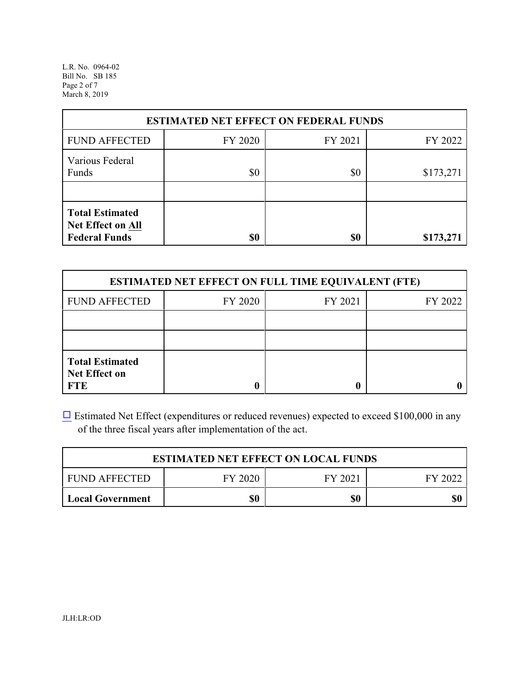L.R. No. 0964-02 Bill No. SB 185 Page 2 of 7 March 8, 2019

| <b>ESTIMATED NET EFFECT ON FEDERAL FUNDS</b>                        |         |         |           |  |  |
|---------------------------------------------------------------------|---------|---------|-----------|--|--|
| <b>FUND AFFECTED</b>                                                | FY 2020 | FY 2021 | FY 2022   |  |  |
| Various Federal<br>Funds                                            | \$0     | \$0     | \$173,271 |  |  |
| <b>Total Estimated</b><br>Net Effect on All<br><b>Federal Funds</b> | \$0     | \$0     | \$173,271 |  |  |

| <b>ESTIMATED NET EFFECT ON FULL TIME EQUIVALENT (FTE)</b>    |         |         |         |  |  |
|--------------------------------------------------------------|---------|---------|---------|--|--|
| <b>FUND AFFECTED</b>                                         | FY 2020 | FY 2021 | FY 2022 |  |  |
|                                                              |         |         |         |  |  |
|                                                              |         |         |         |  |  |
| <b>Total Estimated</b><br><b>Net Effect on</b><br><b>FTE</b> |         |         |         |  |  |

[9](file:///|//checkbox.wcm) Estimated Net Effect (expenditures or reduced revenues) expected to exceed \$100,000 in any of the three fiscal years after implementation of the act.

| <b>ESTIMATED NET EFFECT ON LOCAL FUNDS</b>            |     |     |     |  |  |
|-------------------------------------------------------|-----|-----|-----|--|--|
| FY 2020<br><b>FUND AFFECTED</b><br>FY 2021<br>FY 2022 |     |     |     |  |  |
| Local Government                                      | \$0 | \$0 | \$0 |  |  |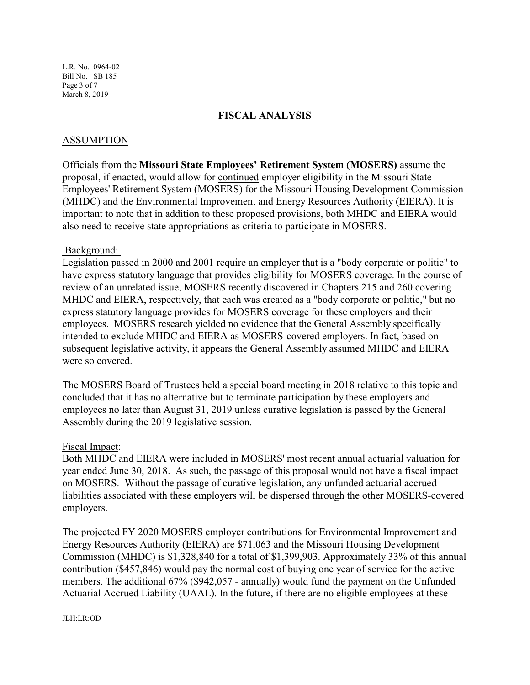L.R. No. 0964-02 Bill No. SB 185 Page 3 of 7 March 8, 2019

### **FISCAL ANALYSIS**

### ASSUMPTION

Officials from the **Missouri State Employees' Retirement System (MOSERS)** assume the proposal, if enacted, would allow for continued employer eligibility in the Missouri State Employees' Retirement System (MOSERS) for the Missouri Housing Development Commission (MHDC) and the Environmental Improvement and Energy Resources Authority (EIERA). It is important to note that in addition to these proposed provisions, both MHDC and EIERA would also need to receive state appropriations as criteria to participate in MOSERS.

#### Background:

Legislation passed in 2000 and 2001 require an employer that is a "body corporate or politic" to have express statutory language that provides eligibility for MOSERS coverage. In the course of review of an unrelated issue, MOSERS recently discovered in Chapters 215 and 260 covering MHDC and EIERA, respectively, that each was created as a "body corporate or politic," but no express statutory language provides for MOSERS coverage for these employers and their employees. MOSERS research yielded no evidence that the General Assembly specifically intended to exclude MHDC and EIERA as MOSERS-covered employers. In fact, based on subsequent legislative activity, it appears the General Assembly assumed MHDC and EIERA were so covered.

The MOSERS Board of Trustees held a special board meeting in 2018 relative to this topic and concluded that it has no alternative but to terminate participation by these employers and employees no later than August 31, 2019 unless curative legislation is passed by the General Assembly during the 2019 legislative session.

#### Fiscal Impact:

Both MHDC and EIERA were included in MOSERS' most recent annual actuarial valuation for year ended June 30, 2018. As such, the passage of this proposal would not have a fiscal impact on MOSERS. Without the passage of curative legislation, any unfunded actuarial accrued liabilities associated with these employers will be dispersed through the other MOSERS-covered employers.

The projected FY 2020 MOSERS employer contributions for Environmental Improvement and Energy Resources Authority (EIERA) are \$71,063 and the Missouri Housing Development Commission (MHDC) is \$1,328,840 for a total of \$1,399,903. Approximately 33% of this annual contribution (\$457,846) would pay the normal cost of buying one year of service for the active members. The additional 67% (\$942,057 - annually) would fund the payment on the Unfunded Actuarial Accrued Liability (UAAL). In the future, if there are no eligible employees at these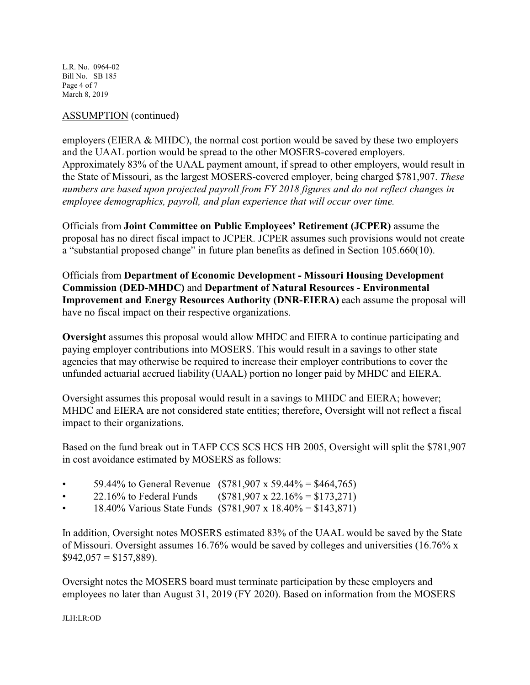L.R. No. 0964-02 Bill No. SB 185 Page 4 of 7 March 8, 2019

## ASSUMPTION (continued)

employers (EIERA & MHDC), the normal cost portion would be saved by these two employers and the UAAL portion would be spread to the other MOSERS-covered employers. Approximately 83% of the UAAL payment amount, if spread to other employers, would result in the State of Missouri, as the largest MOSERS-covered employer, being charged \$781,907. *These numbers are based upon projected payroll from FY 2018 figures and do not reflect changes in employee demographics, payroll, and plan experience that will occur over time.* 

Officials from **Joint Committee on Public Employees' Retirement (JCPER)** assume the proposal has no direct fiscal impact to JCPER. JCPER assumes such provisions would not create a "substantial proposed change" in future plan benefits as defined in Section 105.660(10).

Officials from **Department of Economic Development - Missouri Housing Development Commission (DED-MHDC)** and **Department of Natural Resources - Environmental Improvement and Energy Resources Authority (DNR-EIERA)** each assume the proposal will have no fiscal impact on their respective organizations.

**Oversight** assumes this proposal would allow MHDC and EIERA to continue participating and paying employer contributions into MOSERS. This would result in a savings to other state agencies that may otherwise be required to increase their employer contributions to cover the unfunded actuarial accrued liability (UAAL) portion no longer paid by MHDC and EIERA.

Oversight assumes this proposal would result in a savings to MHDC and EIERA; however; MHDC and EIERA are not considered state entities; therefore, Oversight will not reflect a fiscal impact to their organizations.

Based on the fund break out in TAFP CCS SCS HCS HB 2005, Oversight will split the \$781,907 in cost avoidance estimated by MOSERS as follows:

- 59.44% to General Revenue (\$781,907 x 59.44% = \$464,765)
- 22.16% to Federal Funds  $($781,907 \times 22.16\% = $173,271)$
- 18.40% Various State Funds  $(\$781,907 \times 18.40\% = \$143,871)$

In addition, Oversight notes MOSERS estimated 83% of the UAAL would be saved by the State of Missouri. Oversight assumes 16.76% would be saved by colleges and universities (16.76% x  $$942,057 = $157,889$ ).

Oversight notes the MOSERS board must terminate participation by these employers and employees no later than August 31, 2019 (FY 2020). Based on information from the MOSERS

JLH:LR:OD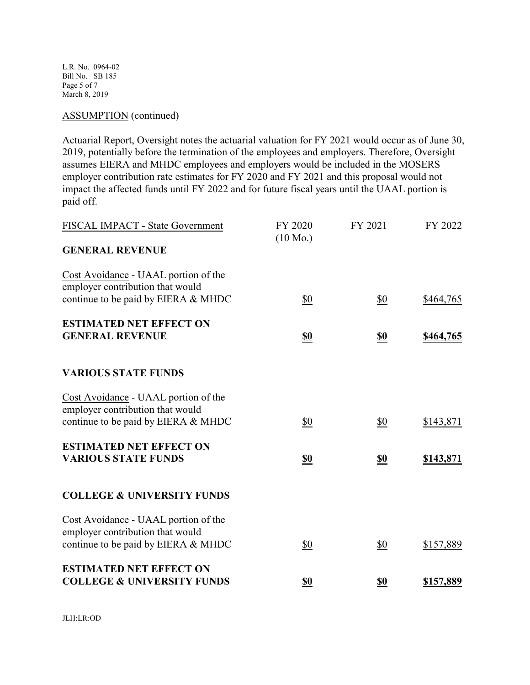L.R. No. 0964-02 Bill No. SB 185 Page 5 of 7 March 8, 2019

# ASSUMPTION (continued)

Actuarial Report, Oversight notes the actuarial valuation for FY 2021 would occur as of June 30, 2019, potentially before the termination of the employees and employers. Therefore, Oversight assumes EIERA and MHDC employees and employers would be included in the MOSERS employer contribution rate estimates for FY 2020 and FY 2021 and this proposal would not impact the affected funds until FY 2022 and for future fiscal years until the UAAL portion is paid off.

| FISCAL IMPACT - State Government                                         | FY 2020<br>$(10 \text{ Mo.})$ | FY 2021    | FY 2022   |
|--------------------------------------------------------------------------|-------------------------------|------------|-----------|
| <b>GENERAL REVENUE</b>                                                   |                               |            |           |
| Cost Avoidance - UAAL portion of the<br>employer contribution that would |                               |            |           |
| continue to be paid by EIERA & MHDC                                      | \$0                           | \$0        | \$464,765 |
| <b>ESTIMATED NET EFFECT ON</b><br><b>GENERAL REVENUE</b>                 | <u>\$0</u>                    | <u>\$0</u> | \$464,765 |
|                                                                          |                               |            |           |
| <b>VARIOUS STATE FUNDS</b>                                               |                               |            |           |
| Cost Avoidance - UAAL portion of the<br>employer contribution that would |                               |            |           |
| continue to be paid by EIERA & MHDC                                      | \$0                           | \$0        | \$143,871 |
| <b>ESTIMATED NET EFFECT ON</b>                                           |                               |            |           |
| <b>VARIOUS STATE FUNDS</b>                                               | <u>\$0</u>                    | <b>\$0</b> | \$143,871 |
| <b>COLLEGE &amp; UNIVERSITY FUNDS</b>                                    |                               |            |           |
| Cost Avoidance - UAAL portion of the<br>employer contribution that would |                               |            |           |
| continue to be paid by EIERA & MHDC                                      | \$0                           | \$0        | \$157,889 |
| <b>ESTIMATED NET EFFECT ON</b>                                           |                               |            |           |
| <b>COLLEGE &amp; UNIVERSITY FUNDS</b>                                    | \$0                           | \$0        | \$157,889 |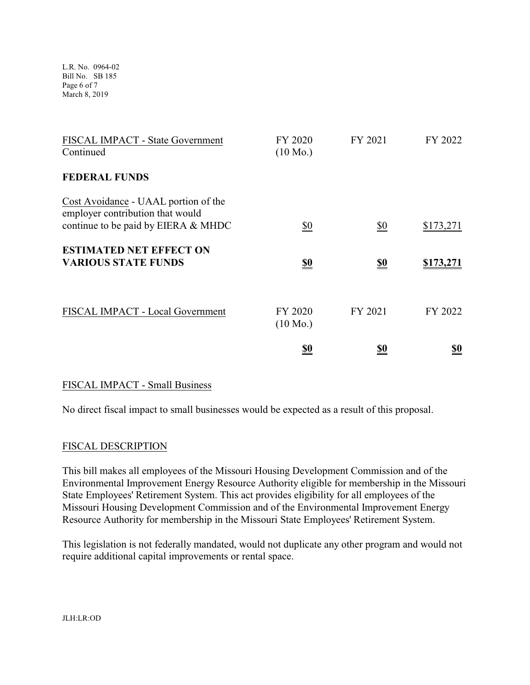L.R. No. 0964-02 Bill No. SB 185 Page 6 of 7 March 8, 2019

| FISCAL IMPACT - State Government<br>Continued                                                                   | FY 2020<br>$(10 \text{ Mo.})$ | FY 2021       | FY 2022          |
|-----------------------------------------------------------------------------------------------------------------|-------------------------------|---------------|------------------|
| <b>FEDERAL FUNDS</b>                                                                                            |                               |               |                  |
| Cost Avoidance - UAAL portion of the<br>employer contribution that would<br>continue to be paid by EIERA & MHDC | $\frac{$0}{}$                 | $\frac{$0}{}$ | \$173,271        |
| <b>ESTIMATED NET EFFECT ON</b><br><b>VARIOUS STATE FUNDS</b>                                                    | <u>\$0</u>                    | <u>\$0</u>    | <u>\$173,271</u> |
| FISCAL IMPACT - Local Government                                                                                | FY 2020<br>$(10 \text{ Mo.})$ | FY 2021       | FY 2022          |
|                                                                                                                 | <u>\$0</u>                    | <u>\$0</u>    | <u>so</u>        |

## FISCAL IMPACT - Small Business

No direct fiscal impact to small businesses would be expected as a result of this proposal.

## FISCAL DESCRIPTION

This bill makes all employees of the Missouri Housing Development Commission and of the Environmental Improvement Energy Resource Authority eligible for membership in the Missouri State Employees' Retirement System. This act provides eligibility for all employees of the Missouri Housing Development Commission and of the Environmental Improvement Energy Resource Authority for membership in the Missouri State Employees' Retirement System.

This legislation is not federally mandated, would not duplicate any other program and would not require additional capital improvements or rental space.